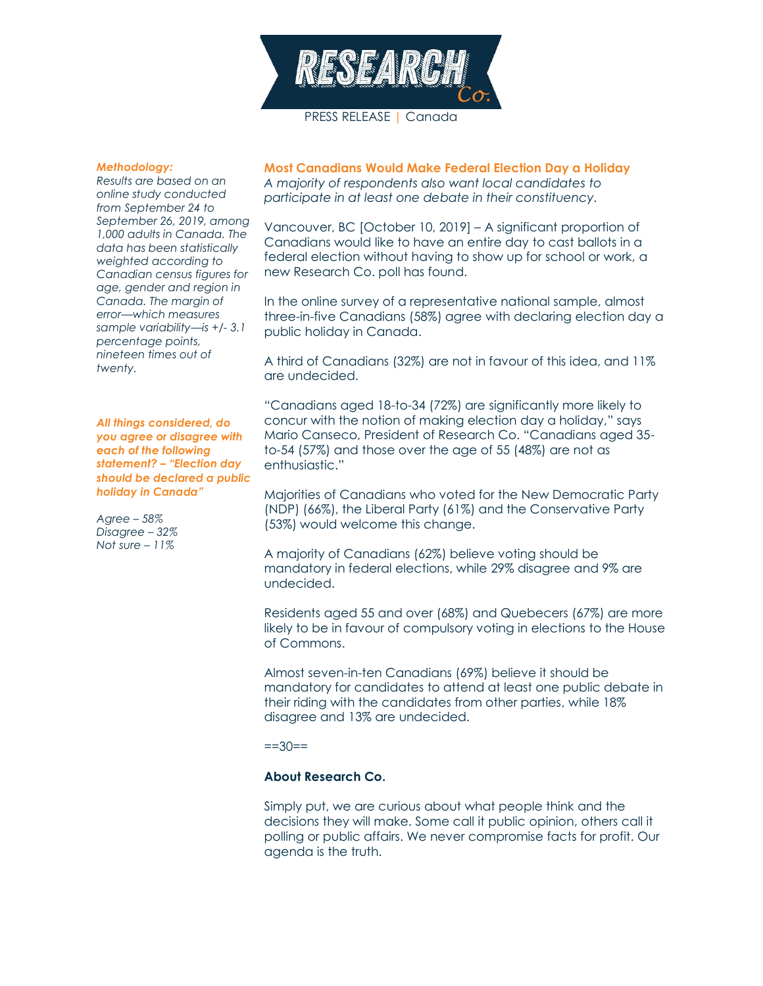

## *Methodology:*

*Results are based on an online study conducted from September 24 to September 26, 2019, among 1,000 adults in Canada. The data has been statistically weighted according to Canadian census figures for age, gender and region in Canada. The margin of error—which measures sample variability—is +/- 3.1 percentage points, nineteen times out of twenty.* 

*All things considered, do you agree or disagree with each of the following statement? – "Election day should be declared a public holiday in Canada"*

*Agree – 58% Disagree – 32% Not sure – 11%*

**Most Canadians Would Make Federal Election Day a Holiday** *A majority of respondents also want local candidates to participate in at least one debate in their constituency.*

Vancouver, BC [October 10, 2019] – A significant proportion of Canadians would like to have an entire day to cast ballots in a federal election without having to show up for school or work, a new Research Co. poll has found.

In the online survey of a representative national sample, almost three-in-five Canadians (58%) agree with declaring election day a public holiday in Canada.

A third of Canadians (32%) are not in favour of this idea, and 11% are undecided.

"Canadians aged 18-to-34 (72%) are significantly more likely to concur with the notion of making election day a holiday," says Mario Canseco, President of Research Co. "Canadians aged 35 to-54 (57%) and those over the age of 55 (48%) are not as enthusiastic."

Majorities of Canadians who voted for the New Democratic Party (NDP) (66%), the Liberal Party (61%) and the Conservative Party (53%) would welcome this change.

A majority of Canadians (62%) believe voting should be mandatory in federal elections, while 29% disagree and 9% are undecided.

Residents aged 55 and over (68%) and Quebecers (67%) are more likely to be in favour of compulsory voting in elections to the House of Commons.

Almost seven-in-ten Canadians (69%) believe it should be mandatory for candidates to attend at least one public debate in their riding with the candidates from other parties, while 18% disagree and 13% are undecided.

 $==30==$ 

## **About Research Co.**

Simply put, we are curious about what people think and the decisions they will make. Some call it public opinion, others call it polling or public affairs. We never compromise facts for profit. Our agenda is the truth.